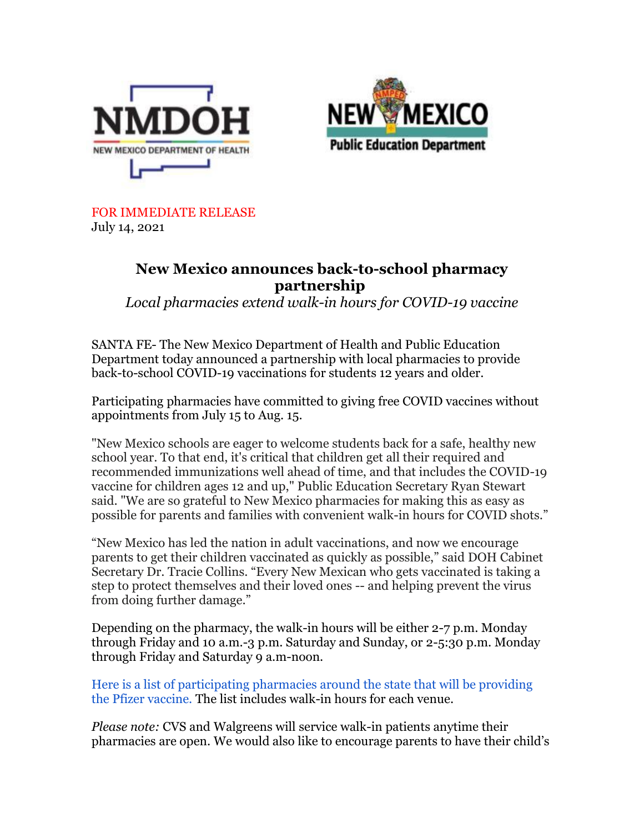



FOR IMMEDIATE RELEASE July 14, 2021

## **New Mexico announces back-to-school pharmacy partnership**

*Local pharmacies extend walk-in hours for COVID-19 vaccine*

SANTA FE- The New Mexico Department of Health and Public Education Department today announced a partnership with local pharmacies to provide back-to-school COVID-19 vaccinations for students 12 years and older.

Participating pharmacies have committed to giving free COVID vaccines without appointments from July 15 to Aug. 15.

"New Mexico schools are eager to welcome students back for a safe, healthy new school year. To that end, it's critical that children get all their required and recommended immunizations well ahead of time, and that includes the COVID-19 vaccine for children ages 12 and up," Public Education Secretary Ryan Stewart said. "We are so grateful to New Mexico pharmacies for making this as easy as possible for parents and families with convenient walk-in hours for COVID shots."

"New Mexico has led the nation in adult vaccinations, and now we encourage parents to get their children vaccinated as quickly as possible," said DOH Cabinet Secretary Dr. Tracie Collins. "Every New Mexican who gets vaccinated is taking a step to protect themselves and their loved ones -- and helping prevent the virus from doing further damage."

Depending on the pharmacy, the walk-in hours will be either 2-7 p.m. Monday through Friday and 10 a.m.-3 p.m. Saturday and Sunday, or 2-5:30 p.m. Monday through Friday and Saturday 9 a.m-noon.

[Here is a list of participating pharmacies around the state that will be providing](https://r20.rs6.net/tn.jsp?f=001NMa1H0QVwcHB7qKRJ50NYAM4z6JGd-63bFK1-UTSaB3kc7syU7m4bkvcY-x234joQbL3bia4HGfroS2vHCqGm2ZEgxS3crnlP4WQa2v5HXFUu9wNeLEPSNPQnOeZdQnUiznY7UKS7ukaYCUAHpywScYaefpevdQC_OH7rYpY_7ptwrUZ1yjcyA3fnMCvXLrrFoc3jgtmPhVOiYgeccFNnQHl3XsMX9mJNFXwh3KuaOA=&c=qtRHngD-Hnh7tIFcjOYJuOa0qU4d7ie092d-P_Eb_a7Y8vF28fN8ZQ==&ch=1TPp60zM8YQsLL9zSyrVJsARo2JgM2njpcsXVG9D0SOG_t_kIlhQ5g==)  [the Pfizer vaccine.](https://r20.rs6.net/tn.jsp?f=001NMa1H0QVwcHB7qKRJ50NYAM4z6JGd-63bFK1-UTSaB3kc7syU7m4bkvcY-x234joQbL3bia4HGfroS2vHCqGm2ZEgxS3crnlP4WQa2v5HXFUu9wNeLEPSNPQnOeZdQnUiznY7UKS7ukaYCUAHpywScYaefpevdQC_OH7rYpY_7ptwrUZ1yjcyA3fnMCvXLrrFoc3jgtmPhVOiYgeccFNnQHl3XsMX9mJNFXwh3KuaOA=&c=qtRHngD-Hnh7tIFcjOYJuOa0qU4d7ie092d-P_Eb_a7Y8vF28fN8ZQ==&ch=1TPp60zM8YQsLL9zSyrVJsARo2JgM2njpcsXVG9D0SOG_t_kIlhQ5g==) The list includes walk-in hours for each venue.

*Please note:* CVS and Walgreens will service walk-in patients anytime their pharmacies are open. We would also like to encourage parents to have their child's